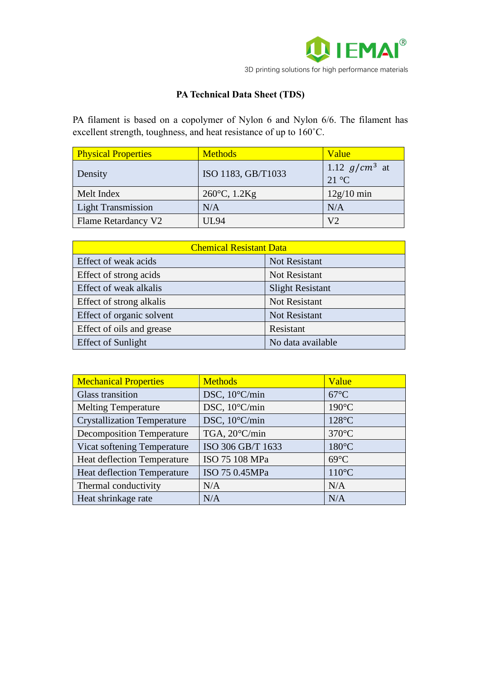

## **PA Technical Data Sheet (TDS)**

PA filament is based on a copolymer of Nylon 6 and Nylon 6/6. The filament has excellent strength, toughness, and heat resistance of up to 160˚C.

| <b>Physical Properties</b> | <b>Methods</b>         | Value                             |
|----------------------------|------------------------|-----------------------------------|
| Density                    | ISO 1183, GB/T1033     | 1.12 $g/cm^3$ at<br>$21^{\circ}C$ |
| Melt Index                 | $260^{\circ}$ C, 1.2Kg | $12g/10$ min                      |
| <b>Light Transmission</b>  | N/A                    | N/A                               |
| <b>Flame Retardancy V2</b> | UL94                   | V <sub>2</sub>                    |

| <b>Chemical Resistant Data</b> |                         |  |
|--------------------------------|-------------------------|--|
| Effect of weak acids           | Not Resistant           |  |
| Effect of strong acids         | Not Resistant           |  |
| Effect of weak alkalis         | <b>Slight Resistant</b> |  |
| Effect of strong alkalis       | Not Resistant           |  |
| Effect of organic solvent      | Not Resistant           |  |
| Effect of oils and grease      | Resistant               |  |
| <b>Effect of Sunlight</b>      | No data available       |  |

| <b>Mechanical Properties</b>       | <b>Methods</b>    | Value           |
|------------------------------------|-------------------|-----------------|
| <b>Glass transition</b>            | DSC, 10°C/min     | $67^{\circ}$ C  |
| <b>Melting Temperature</b>         | DSC, 10°C/min     | $190^{\circ}$ C |
| <b>Crystallization Temperature</b> | DSC, 10°C/min     | $128^{\circ}$ C |
| <b>Decomposition Temperature</b>   | TGA, 20°C/min     | $370^{\circ}$ C |
| Vicat softening Temperature        | ISO 306 GB/T 1633 | $180^{\circ}$ C |
| Heat deflection Temperature        | ISO 75 108 MPa    | $69^{\circ}$ C  |
| <b>Heat deflection Temperature</b> | ISO 75 0.45MPa    | $110^{\circ}$ C |
| Thermal conductivity               | N/A               | N/A             |
| Heat shrinkage rate                | N/A               | N/A             |